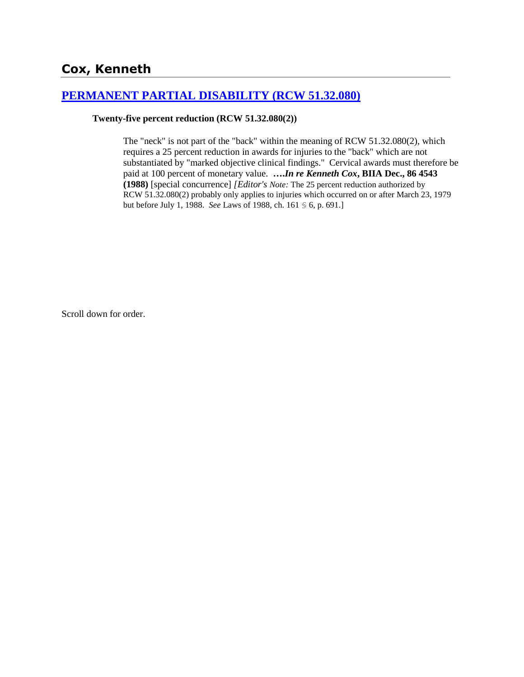# **[PERMANENT PARTIAL DISABILITY \(RCW 51.32.080\)](http://www.biia.wa.gov/SDSubjectIndex.html#PERMANENT_PARTIAL_DISABILITY)**

#### **Twenty-five percent reduction (RCW 51.32.080(2))**

The "neck" is not part of the "back" within the meaning of RCW 51.32.080(2), which requires a 25 percent reduction in awards for injuries to the "back" which are not substantiated by "marked objective clinical findings." Cervical awards must therefore be paid at 100 percent of monetary value. **….***In re Kenneth Cox***, BIIA Dec., 86 4543 (1988)** [special concurrence] *[Editor's Note:* The 25 percent reduction authorized by RCW 51.32.080(2) probably only applies to injuries which occurred on or after March 23, 1979 but before July 1, 1988. *See* Laws of 1988, ch. 161 § 6, p. 691.]

Scroll down for order.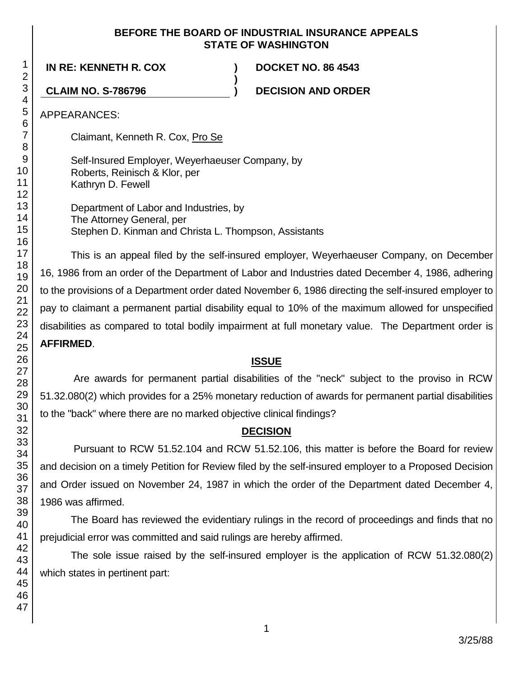#### **BEFORE THE BOARD OF INDUSTRIAL INSURANCE APPEALS STATE OF WASHINGTON**

**)**

**IN RE: KENNETH R. COX ) DOCKET NO. 86 4543**

**CLAIM NO. S-786796 ) DECISION AND ORDER**

APPEARANCES:

Claimant, Kenneth R. Cox, Pro Se

Self-Insured Employer, Weyerhaeuser Company, by Roberts, Reinisch & Klor, per Kathryn D. Fewell

Department of Labor and Industries, by The Attorney General, per Stephen D. Kinman and Christa L. Thompson, Assistants

This is an appeal filed by the self-insured employer, Weyerhaeuser Company, on December 16, 1986 from an order of the Department of Labor and Industries dated December 4, 1986, adhering to the provisions of a Department order dated November 6, 1986 directing the self-insured employer to pay to claimant a permanent partial disability equal to 10% of the maximum allowed for unspecified disabilities as compared to total bodily impairment at full monetary value. The Department order is **AFFIRMED**.

# **ISSUE**

Are awards for permanent partial disabilities of the "neck" subject to the proviso in RCW 51.32.080(2) which provides for a 25% monetary reduction of awards for permanent partial disabilities to the "back" where there are no marked objective clinical findings?

# **DECISION**

Pursuant to RCW 51.52.104 and RCW 51.52.106, this matter is before the Board for review and decision on a timely Petition for Review filed by the self-insured employer to a Proposed Decision and Order issued on November 24, 1987 in which the order of the Department dated December 4, 1986 was affirmed.

The Board has reviewed the evidentiary rulings in the record of proceedings and finds that no prejudicial error was committed and said rulings are hereby affirmed.

The sole issue raised by the self-insured employer is the application of RCW 51.32.080(2) which states in pertinent part:

1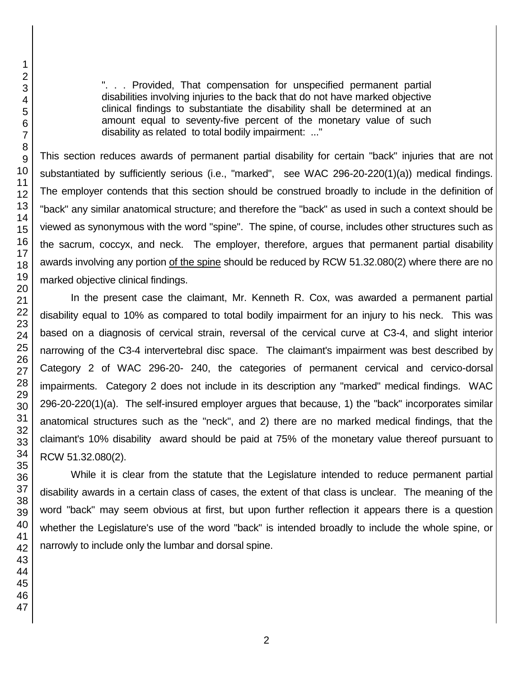". . . Provided, That compensation for unspecified permanent partial disabilities involving injuries to the back that do not have marked objective clinical findings to substantiate the disability shall be determined at an amount equal to seventy-five percent of the monetary value of such disability as related to total bodily impairment: ..."

This section reduces awards of permanent partial disability for certain "back" injuries that are not substantiated by sufficiently serious (i.e., "marked", see WAC 296-20-220(1)(a)) medical findings. The employer contends that this section should be construed broadly to include in the definition of "back" any similar anatomical structure; and therefore the "back" as used in such a context should be viewed as synonymous with the word "spine". The spine, of course, includes other structures such as the sacrum, coccyx, and neck. The employer, therefore, argues that permanent partial disability awards involving any portion of the spine should be reduced by RCW 51.32.080(2) where there are no marked objective clinical findings.

In the present case the claimant, Mr. Kenneth R. Cox, was awarded a permanent partial disability equal to 10% as compared to total bodily impairment for an injury to his neck. This was based on a diagnosis of cervical strain, reversal of the cervical curve at C3-4, and slight interior narrowing of the C3-4 intervertebral disc space. The claimant's impairment was best described by Category 2 of WAC 296-20- 240, the categories of permanent cervical and cervico-dorsal impairments. Category 2 does not include in its description any "marked" medical findings. WAC 296-20-220(1)(a). The self-insured employer argues that because, 1) the "back" incorporates similar anatomical structures such as the "neck", and 2) there are no marked medical findings, that the claimant's 10% disability award should be paid at 75% of the monetary value thereof pursuant to RCW 51.32.080(2).

While it is clear from the statute that the Legislature intended to reduce permanent partial disability awards in a certain class of cases, the extent of that class is unclear. The meaning of the word "back" may seem obvious at first, but upon further reflection it appears there is a question whether the Legislature's use of the word "back" is intended broadly to include the whole spine, or narrowly to include only the lumbar and dorsal spine.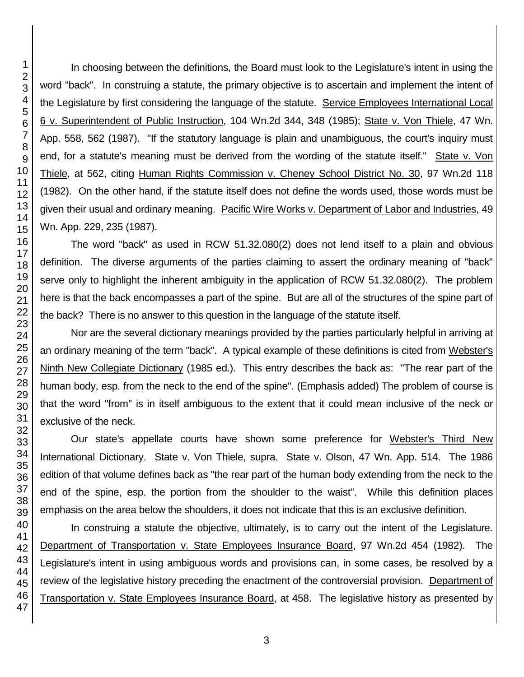In choosing between the definitions, the Board must look to the Legislature's intent in using the word "back". In construing a statute, the primary objective is to ascertain and implement the intent of the Legislature by first considering the language of the statute. Service Employees International Local 6 v. Superintendent of Public Instruction, 104 Wn.2d 344, 348 (1985); State v. Von Thiele, 47 Wn. App. 558, 562 (1987). "If the statutory language is plain and unambiguous, the court's inquiry must end, for a statute's meaning must be derived from the wording of the statute itself." State v. Von Thiele, at 562, citing Human Rights Commission v. Cheney School District No. 30, 97 Wn.2d 118 (1982). On the other hand, if the statute itself does not define the words used, those words must be given their usual and ordinary meaning. Pacific Wire Works v. Department of Labor and Industries, 49 Wn. App. 229, 235 (1987).

The word "back" as used in RCW 51.32.080(2) does not lend itself to a plain and obvious definition. The diverse arguments of the parties claiming to assert the ordinary meaning of "back" serve only to highlight the inherent ambiguity in the application of RCW 51.32.080(2). The problem here is that the back encompasses a part of the spine. But are all of the structures of the spine part of the back? There is no answer to this question in the language of the statute itself.

Nor are the several dictionary meanings provided by the parties particularly helpful in arriving at an ordinary meaning of the term "back". A typical example of these definitions is cited from Webster's Ninth New Collegiate Dictionary (1985 ed.). This entry describes the back as: "The rear part of the human body, esp. from the neck to the end of the spine". (Emphasis added) The problem of course is that the word "from" is in itself ambiguous to the extent that it could mean inclusive of the neck or exclusive of the neck.

Our state's appellate courts have shown some preference for Webster's Third New International Dictionary. State v. Von Thiele, supra. State v. Olson, 47 Wn. App. 514. The 1986 edition of that volume defines back as "the rear part of the human body extending from the neck to the end of the spine, esp. the portion from the shoulder to the waist". While this definition places emphasis on the area below the shoulders, it does not indicate that this is an exclusive definition.

In construing a statute the objective, ultimately, is to carry out the intent of the Legislature. Department of Transportation v. State Employees Insurance Board, 97 Wn.2d 454 (1982). The Legislature's intent in using ambiguous words and provisions can, in some cases, be resolved by a review of the legislative history preceding the enactment of the controversial provision. Department of Transportation v. State Employees Insurance Board, at 458. The legislative history as presented by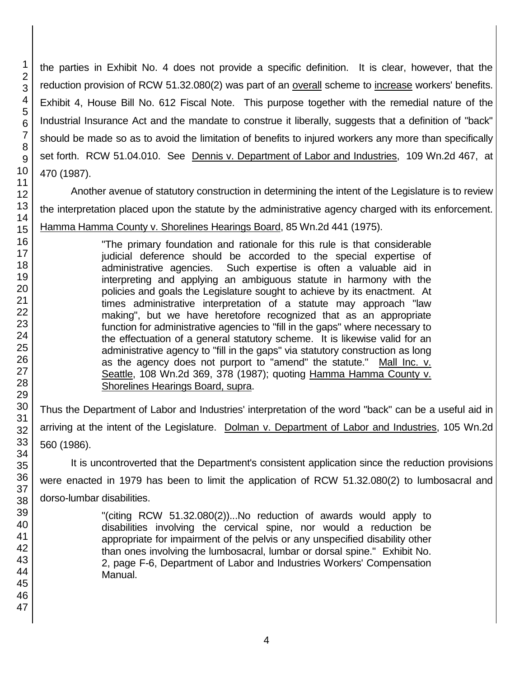the parties in Exhibit No. 4 does not provide a specific definition. It is clear, however, that the reduction provision of RCW 51.32.080(2) was part of an overall scheme to increase workers' benefits. Exhibit 4, House Bill No. 612 Fiscal Note. This purpose together with the remedial nature of the Industrial Insurance Act and the mandate to construe it liberally, suggests that a definition of "back" should be made so as to avoid the limitation of benefits to injured workers any more than specifically set forth. RCW 51.04.010. See Dennis v. Department of Labor and Industries, 109 Wn.2d 467, at 470 (1987).

Another avenue of statutory construction in determining the intent of the Legislature is to review the interpretation placed upon the statute by the administrative agency charged with its enforcement. Hamma Hamma County v. Shorelines Hearings Board, 85 Wn.2d 441 (1975).

> "The primary foundation and rationale for this rule is that considerable judicial deference should be accorded to the special expertise of administrative agencies. Such expertise is often a valuable aid in interpreting and applying an ambiguous statute in harmony with the policies and goals the Legislature sought to achieve by its enactment. At times administrative interpretation of a statute may approach "law making", but we have heretofore recognized that as an appropriate function for administrative agencies to "fill in the gaps" where necessary to the effectuation of a general statutory scheme. It is likewise valid for an administrative agency to "fill in the gaps" via statutory construction as long as the agency does not purport to "amend" the statute." Mall Inc. v. Seattle, 108 Wn.2d 369, 378 (1987); quoting Hamma Hamma County v. Shorelines Hearings Board, supra.

Thus the Department of Labor and Industries' interpretation of the word "back" can be a useful aid in arriving at the intent of the Legislature. Dolman v. Department of Labor and Industries, 105 Wn.2d 560 (1986).

It is uncontroverted that the Department's consistent application since the reduction provisions were enacted in 1979 has been to limit the application of RCW 51.32.080(2) to lumbosacral and dorso-lumbar disabilities.

> "(citing RCW 51.32.080(2))...No reduction of awards would apply to disabilities involving the cervical spine, nor would a reduction be appropriate for impairment of the pelvis or any unspecified disability other than ones involving the lumbosacral, lumbar or dorsal spine." Exhibit No. 2, page F-6, Department of Labor and Industries Workers' Compensation Manual.

1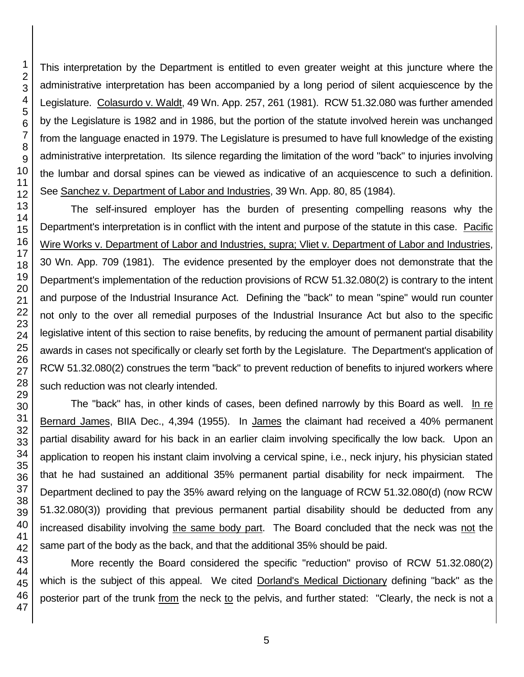This interpretation by the Department is entitled to even greater weight at this juncture where the administrative interpretation has been accompanied by a long period of silent acquiescence by the Legislature. Colasurdo v. Waldt, 49 Wn. App. 257, 261 (1981). RCW 51.32.080 was further amended by the Legislature is 1982 and in 1986, but the portion of the statute involved herein was unchanged from the language enacted in 1979. The Legislature is presumed to have full knowledge of the existing administrative interpretation. Its silence regarding the limitation of the word "back" to injuries involving the lumbar and dorsal spines can be viewed as indicative of an acquiescence to such a definition. See Sanchez v. Department of Labor and Industries, 39 Wn. App. 80, 85 (1984).

The self-insured employer has the burden of presenting compelling reasons why the Department's interpretation is in conflict with the intent and purpose of the statute in this case. Pacific Wire Works v. Department of Labor and Industries, supra; Vliet v. Department of Labor and Industries, 30 Wn. App. 709 (1981). The evidence presented by the employer does not demonstrate that the Department's implementation of the reduction provisions of RCW 51.32.080(2) is contrary to the intent and purpose of the Industrial Insurance Act. Defining the "back" to mean "spine" would run counter not only to the over all remedial purposes of the Industrial Insurance Act but also to the specific legislative intent of this section to raise benefits, by reducing the amount of permanent partial disability awards in cases not specifically or clearly set forth by the Legislature. The Department's application of RCW 51.32.080(2) construes the term "back" to prevent reduction of benefits to injured workers where such reduction was not clearly intended.

The "back" has, in other kinds of cases, been defined narrowly by this Board as well. In re Bernard James, BIIA Dec., 4,394 (1955). In James the claimant had received a 40% permanent partial disability award for his back in an earlier claim involving specifically the low back. Upon an application to reopen his instant claim involving a cervical spine, i.e., neck injury, his physician stated that he had sustained an additional 35% permanent partial disability for neck impairment. The Department declined to pay the 35% award relying on the language of RCW 51.32.080(d) (now RCW 51.32.080(3)) providing that previous permanent partial disability should be deducted from any increased disability involving the same body part. The Board concluded that the neck was not the same part of the body as the back, and that the additional 35% should be paid.

More recently the Board considered the specific "reduction" proviso of RCW 51.32.080(2) which is the subject of this appeal. We cited Dorland's Medical Dictionary defining "back" as the posterior part of the trunk from the neck to the pelvis, and further stated: "Clearly, the neck is not a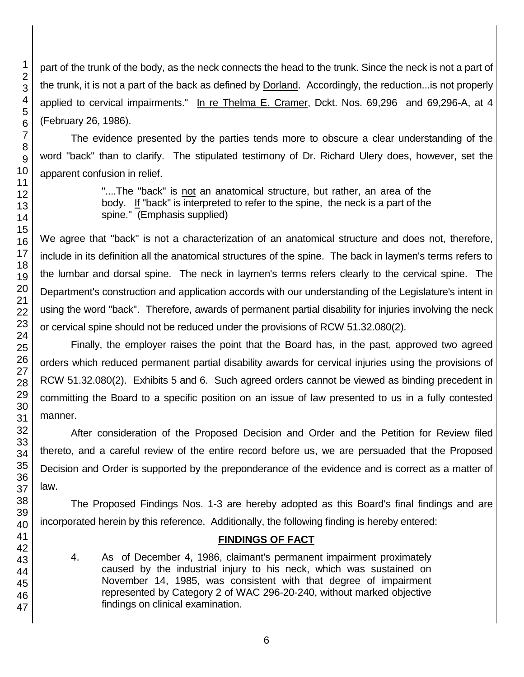part of the trunk of the body, as the neck connects the head to the trunk. Since the neck is not a part of the trunk, it is not a part of the back as defined by Dorland. Accordingly, the reduction...is not properly applied to cervical impairments." In re Thelma E. Cramer, Dckt. Nos. 69,296 and 69,296-A, at 4 (February 26, 1986).

The evidence presented by the parties tends more to obscure a clear understanding of the word "back" than to clarify. The stipulated testimony of Dr. Richard Ulery does, however, set the apparent confusion in relief.

> "....The "back" is not an anatomical structure, but rather, an area of the body. If "back" is interpreted to refer to the spine, the neck is a part of the spine." (Emphasis supplied)

We agree that "back" is not a characterization of an anatomical structure and does not, therefore, include in its definition all the anatomical structures of the spine. The back in laymen's terms refers to the lumbar and dorsal spine. The neck in laymen's terms refers clearly to the cervical spine. The Department's construction and application accords with our understanding of the Legislature's intent in using the word "back". Therefore, awards of permanent partial disability for injuries involving the neck or cervical spine should not be reduced under the provisions of RCW 51.32.080(2).

Finally, the employer raises the point that the Board has, in the past, approved two agreed orders which reduced permanent partial disability awards for cervical injuries using the provisions of RCW 51.32.080(2). Exhibits 5 and 6. Such agreed orders cannot be viewed as binding precedent in committing the Board to a specific position on an issue of law presented to us in a fully contested manner.

After consideration of the Proposed Decision and Order and the Petition for Review filed thereto, and a careful review of the entire record before us, we are persuaded that the Proposed Decision and Order is supported by the preponderance of the evidence and is correct as a matter of law.

The Proposed Findings Nos. 1-3 are hereby adopted as this Board's final findings and are incorporated herein by this reference. Additionally, the following finding is hereby entered:

# **FINDINGS OF FACT**

4. As of December 4, 1986, claimant's permanent impairment proximately caused by the industrial injury to his neck, which was sustained on November 14, 1985, was consistent with that degree of impairment represented by Category 2 of WAC 296-20-240, without marked objective findings on clinical examination.